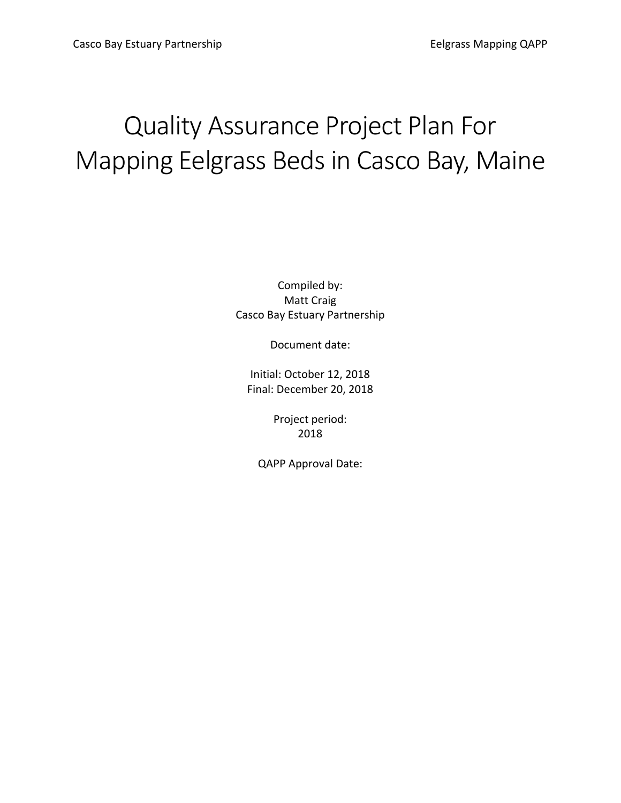# Quality Assurance Project Plan For Mapping Eelgrass Bedsin Casco Bay, Maine

Compiled by: Matt Craig Casco Bay Estuary Partnership

Document date:

Initial: October 12, 2018 Final: December 20, 2018

> Project period: 2018

QAPP Approval Date: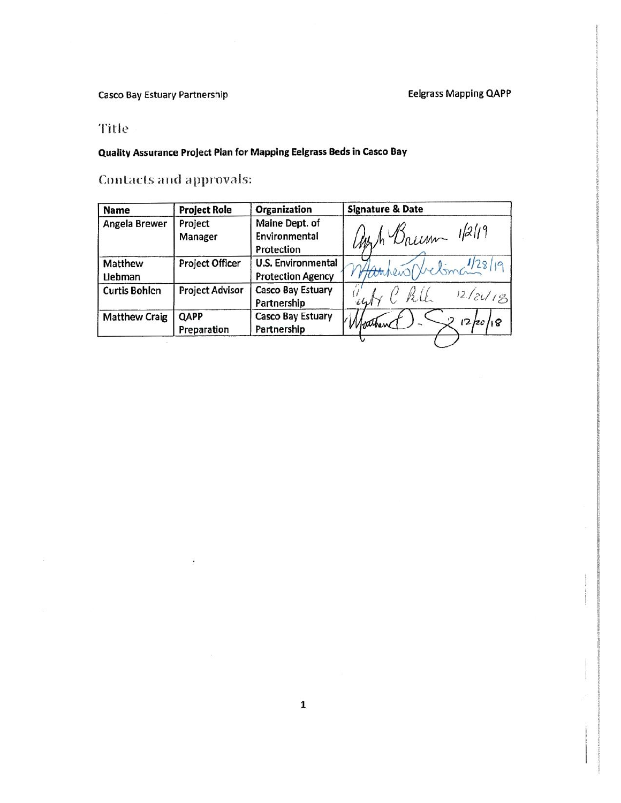Casco Bay Estuary Partnership

#### Title

Quality Assurance Project Plan for Mapping Eelgrass Beds in Casco Bay

Contacts and approvals:

| <b>Project Role</b>    | Organization                                          | <b>Signature &amp; Date</b> |
|------------------------|-------------------------------------------------------|-----------------------------|
| Project<br>Manager     | Maine Dept. of<br>Environmental<br>Protection         | ash Brenn 12/19             |
| Project Officer        | <b>U.S. Environmental</b><br><b>Protection Agency</b> | Hankens / beliman 28/19     |
| <b>Project Advisor</b> | Casco Bay Estuary<br>Partnership                      | C RU<br>12/26/18            |
| QAPP<br>Preparation    | <b>Casco Bay Estuary</b><br>Partnership               | $12  z_0 $ 18<br>Mouthen    |
|                        |                                                       |                             |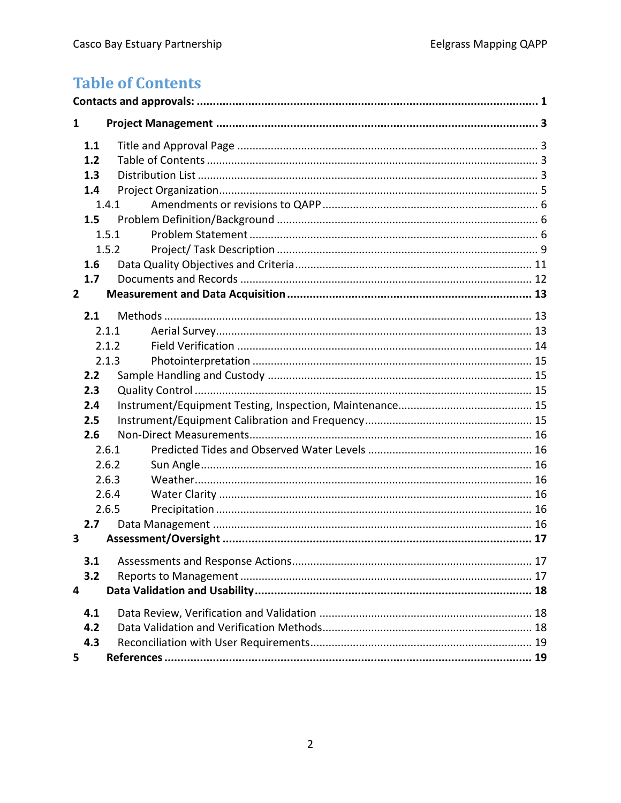# **Table of Contents**

| 1            |                                                                                                                       |  |  |
|--------------|-----------------------------------------------------------------------------------------------------------------------|--|--|
|              | 1.1<br>1.2<br>1.3<br>1.4<br>1.4.1<br>1.5<br>1.5.1<br>1.5.2<br>1.6                                                     |  |  |
|              | 1.7                                                                                                                   |  |  |
| $\mathbf{2}$ |                                                                                                                       |  |  |
|              | 2.1<br>2.1.1<br>2.1.2<br>2.1.3<br>2.2<br>2.3<br>2.4<br>2.5<br>2.6<br>2.6.1<br>2.6.2<br>2.6.3<br>2.6.4<br>2.6.5<br>2.7 |  |  |
| 3            |                                                                                                                       |  |  |
| 4            | 3.1<br>3.2                                                                                                            |  |  |
| 5            | 4.1<br>4.2<br>4.3                                                                                                     |  |  |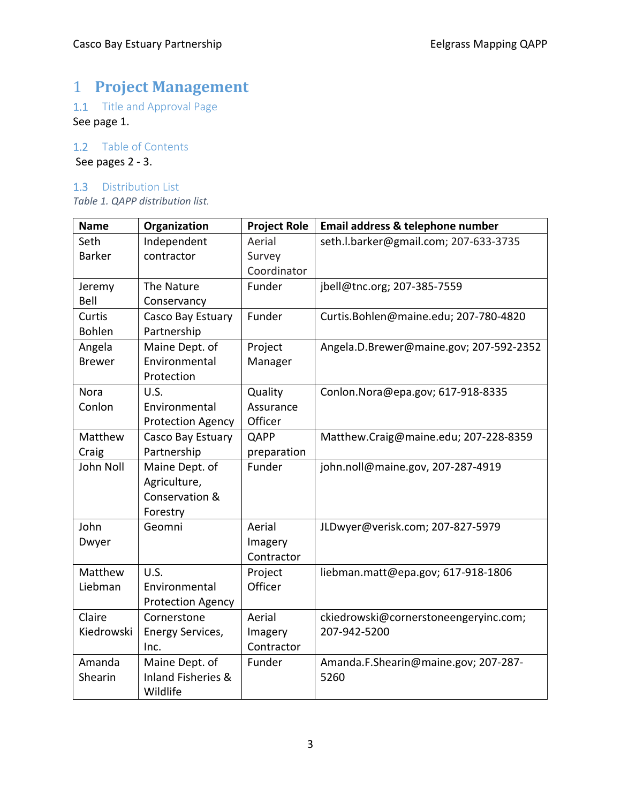# 1 **Project Management**

1.1 Title and Approval Page

See page 1.

#### 1.2 Table of Contents

See pages 2 ‐ 3.

## 1.3 Distribution List

*Table 1. QAPP distribution list.*

| <b>Name</b>   | Organization                  | <b>Project Role</b> | Email address & telephone number        |
|---------------|-------------------------------|---------------------|-----------------------------------------|
| Seth          | Independent                   | Aerial              | seth.l.barker@gmail.com; 207-633-3735   |
| <b>Barker</b> | contractor                    | Survey              |                                         |
|               |                               | Coordinator         |                                         |
| Jeremy        | The Nature                    | Funder              | jbell@tnc.org; 207-385-7559             |
| Bell          | Conservancy                   |                     |                                         |
| Curtis        | Casco Bay Estuary             | Funder              | Curtis.Bohlen@maine.edu; 207-780-4820   |
| <b>Bohlen</b> | Partnership                   |                     |                                         |
| Angela        | Maine Dept. of                | Project             | Angela.D.Brewer@maine.gov; 207-592-2352 |
| <b>Brewer</b> | Environmental                 | Manager             |                                         |
|               | Protection                    |                     |                                         |
| <b>Nora</b>   | U.S.                          | Quality             | Conlon.Nora@epa.gov; 617-918-8335       |
| Conlon        | Environmental                 | Assurance           |                                         |
|               | <b>Protection Agency</b>      | Officer             |                                         |
| Matthew       | Casco Bay Estuary             | QAPP                | Matthew.Craig@maine.edu; 207-228-8359   |
| Craig         | Partnership                   | preparation         |                                         |
| John Noll     | Maine Dept. of                | Funder              | john.noll@maine.gov, 207-287-4919       |
|               | Agriculture,                  |                     |                                         |
|               | Conservation &                |                     |                                         |
|               | Forestry                      |                     |                                         |
| John          | Geomni                        | Aerial              | JLDwyer@verisk.com; 207-827-5979        |
| Dwyer         |                               | Imagery             |                                         |
|               |                               | Contractor          |                                         |
| Matthew       | U.S.                          | Project             | liebman.matt@epa.gov; 617-918-1806      |
| Liebman       | Environmental                 | Officer             |                                         |
|               | <b>Protection Agency</b>      |                     |                                         |
| Claire        | Cornerstone                   | Aerial              | ckiedrowski@cornerstoneengeryinc.com;   |
| Kiedrowski    | <b>Energy Services,</b>       | Imagery             | 207-942-5200                            |
|               | Inc.                          | Contractor          |                                         |
| Amanda        | Maine Dept. of                | Funder              | Amanda.F.Shearin@maine.gov; 207-287-    |
| Shearin       | <b>Inland Fisheries &amp;</b> |                     | 5260                                    |
|               | Wildlife                      |                     |                                         |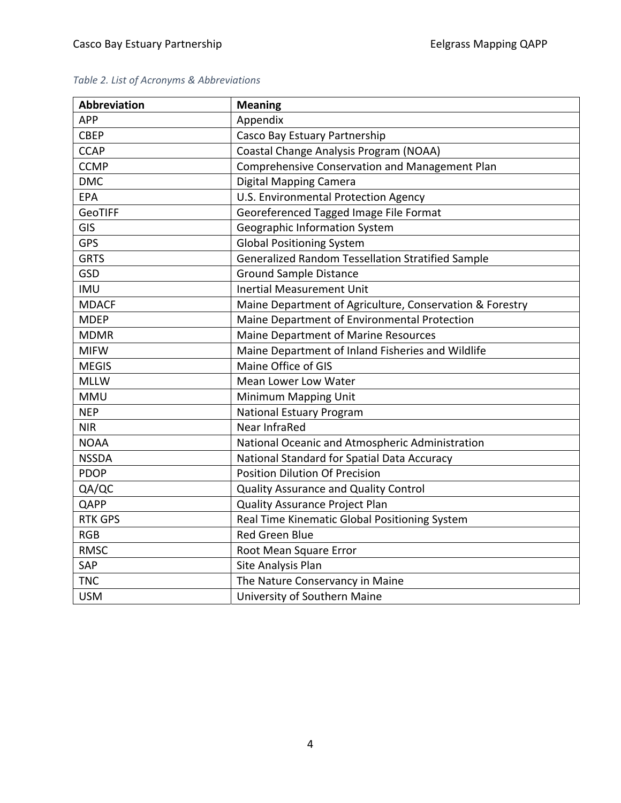| Table 2. List of Acronyms & Abbreviations |  |
|-------------------------------------------|--|
|-------------------------------------------|--|

| <b>Abbreviation</b> | <b>Meaning</b>                                           |
|---------------------|----------------------------------------------------------|
| APP                 | Appendix                                                 |
| <b>CBEP</b>         | Casco Bay Estuary Partnership                            |
| <b>CCAP</b>         | Coastal Change Analysis Program (NOAA)                   |
| <b>CCMP</b>         | Comprehensive Conservation and Management Plan           |
| <b>DMC</b>          | <b>Digital Mapping Camera</b>                            |
| EPA                 | U.S. Environmental Protection Agency                     |
| GeoTIFF             | Georeferenced Tagged Image File Format                   |
| <b>GIS</b>          | Geographic Information System                            |
| <b>GPS</b>          | <b>Global Positioning System</b>                         |
| <b>GRTS</b>         | Generalized Random Tessellation Stratified Sample        |
| GSD                 | <b>Ground Sample Distance</b>                            |
| <b>IMU</b>          | <b>Inertial Measurement Unit</b>                         |
| <b>MDACF</b>        | Maine Department of Agriculture, Conservation & Forestry |
| <b>MDEP</b>         | Maine Department of Environmental Protection             |
| <b>MDMR</b>         | Maine Department of Marine Resources                     |
| <b>MIFW</b>         | Maine Department of Inland Fisheries and Wildlife        |
| <b>MEGIS</b>        | Maine Office of GIS                                      |
| <b>MLLW</b>         | <b>Mean Lower Low Water</b>                              |
| <b>MMU</b>          | Minimum Mapping Unit                                     |
| <b>NEP</b>          | <b>National Estuary Program</b>                          |
| <b>NIR</b>          | Near InfraRed                                            |
| <b>NOAA</b>         | National Oceanic and Atmospheric Administration          |
| <b>NSSDA</b>        | National Standard for Spatial Data Accuracy              |
| PDOP                | <b>Position Dilution Of Precision</b>                    |
| QA/QC               | Quality Assurance and Quality Control                    |
| QAPP                | Quality Assurance Project Plan                           |
| <b>RTK GPS</b>      | Real Time Kinematic Global Positioning System            |
| <b>RGB</b>          | Red Green Blue                                           |
| <b>RMSC</b>         | Root Mean Square Error                                   |
| SAP                 | Site Analysis Plan                                       |
| <b>TNC</b>          | The Nature Conservancy in Maine                          |
| <b>USM</b>          | University of Southern Maine                             |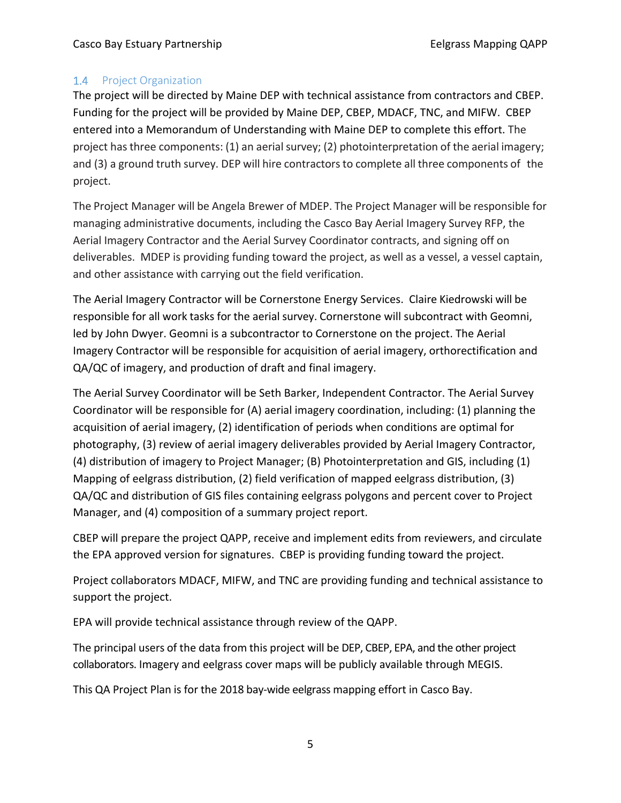## 1.4 Project Organization

The project will be directed by Maine DEP with technical assistance from contractors and CBEP. Funding for the project will be provided by Maine DEP, CBEP, MDACF, TNC, and MIFW. CBEP entered into a Memorandum of Understanding with Maine DEP to complete this effort. The project hasthree components: (1) an aerial survey; (2) photointerpretation of the aerial imagery; and (3) a ground truth survey. DEP will hire contractorsto complete all three components of the project.

The Project Manager will be Angela Brewer of MDEP. The Project Manager will be responsible for managing administrative documents, including the Casco Bay Aerial Imagery Survey RFP, the Aerial Imagery Contractor and the Aerial Survey Coordinator contracts, and signing off on deliverables. MDEP is providing funding toward the project, as well as a vessel, a vessel captain, and other assistance with carrying out the field verification.

The Aerial Imagery Contractor will be Cornerstone Energy Services. Claire Kiedrowski will be responsible for all work tasks for the aerial survey. Cornerstone will subcontract with Geomni, led by John Dwyer. Geomni is a subcontractor to Cornerstone on the project. The Aerial Imagery Contractor will be responsible for acquisition of aerial imagery, orthorectification and QA/QC of imagery, and production of draft and final imagery.

The Aerial Survey Coordinator will be Seth Barker, Independent Contractor. The Aerial Survey Coordinator will be responsible for (A) aerial imagery coordination, including: (1) planning the acquisition of aerial imagery, (2) identification of periods when conditions are optimal for photography, (3) review of aerial imagery deliverables provided by Aerial Imagery Contractor, (4) distribution of imagery to Project Manager; (B) Photointerpretation and GIS, including (1) Mapping of eelgrass distribution, (2) field verification of mapped eelgrass distribution, (3) QA/QC and distribution of GIS files containing eelgrass polygons and percent cover to Project Manager, and (4) composition of a summary project report.

CBEP will prepare the project QAPP, receive and implement edits from reviewers, and circulate the EPA approved version for signatures. CBEP is providing funding toward the project.

Project collaborators MDACF, MIFW, and TNC are providing funding and technical assistance to support the project.

EPA will provide technical assistance through review of the QAPP.

The principal users of the data from this project will be DEP, CBEP, EPA, and the other project collaborators. Imagery and eelgrass cover maps will be publicly available through MEGIS.

This QA Project Plan is for the 2018 bay‐wide eelgrass mapping effort in Casco Bay.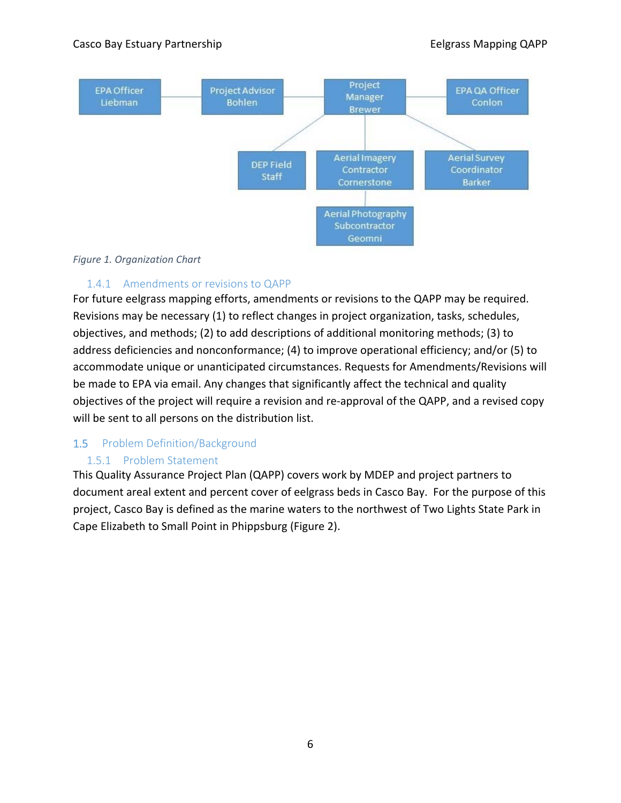

#### *Figure 1. Organization Chart*

## 1.4.1 Amendments or revisions to QAPP

For future eelgrass mapping efforts, amendments or revisions to the QAPP may be required. Revisions may be necessary (1) to reflect changes in project organization, tasks, schedules, objectives, and methods; (2) to add descriptions of additional monitoring methods; (3) to address deficiencies and nonconformance; (4) to improve operational efficiency; and/or (5) to accommodate unique or unanticipated circumstances. Requests for Amendments/Revisions will be made to EPA via email. Any changes that significantly affect the technical and quality objectives of the project will require a revision and re‐approval of the QAPP, and a revised copy will be sent to all persons on the distribution list.

## 1.5 Problem Definition/Background

## 1.5.1 Problem Statement

This Quality Assurance Project Plan (QAPP) covers work by MDEP and project partners to document areal extent and percent cover of eelgrass beds in Casco Bay. For the purpose of this project, Casco Bay is defined as the marine waters to the northwest of Two Lights State Park in Cape Elizabeth to Small Point in Phippsburg (Figure 2).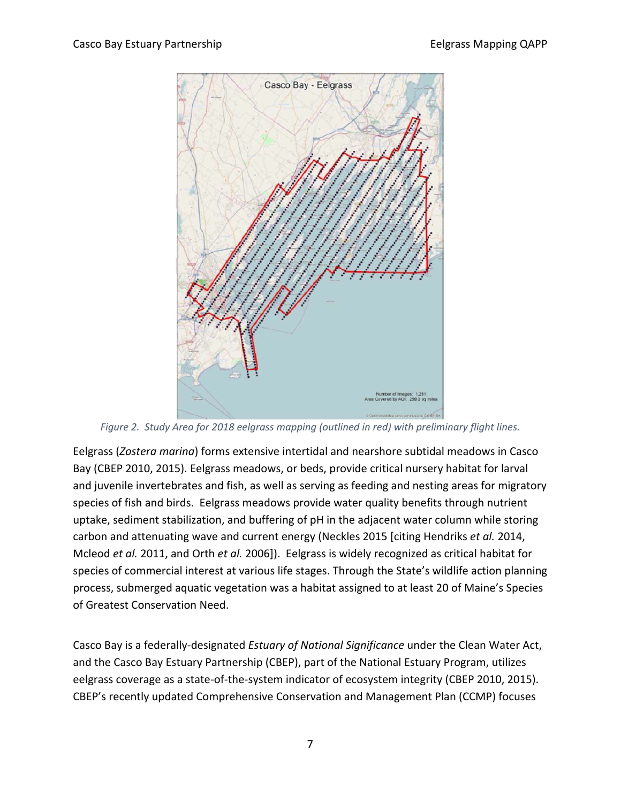

*Figure 2. Study Area for 2018 eelgrass mapping (outlined in red) with preliminary flight lines.*

Eelgrass (*Zostera marina*) forms extensive intertidal and nearshore subtidal meadows in Casco Bay (CBEP 2010, 2015). Eelgrass meadows, or beds, provide critical nursery habitat for larval and juvenile invertebrates and fish, as well as serving as feeding and nesting areas for migratory species of fish and birds. Eelgrass meadows provide water quality benefits through nutrient uptake, sediment stabilization, and buffering of pH in the adjacent water column while storing carbon and attenuating wave and current energy (Neckles 2015 [citing Hendriks *et al.* 2014, Mcleod *et al.* 2011, and Orth *et al.* 2006]). Eelgrass is widely recognized as critical habitat for species of commercial interest at various life stages. Through the State's wildlife action planning process, submerged aquatic vegetation was a habitat assigned to at least 20 of Maine's Species of Greatest Conservation Need.

Casco Bay is a federally‐designated *Estuary of National Significance* under the Clean Water Act, and the Casco Bay Estuary Partnership (CBEP), part of the National Estuary Program, utilizes eelgrass coverage as a state-of-the-system indicator of ecosystem integrity (CBEP 2010, 2015). CBEP's recently updated Comprehensive Conservation and Management Plan (CCMP) focuses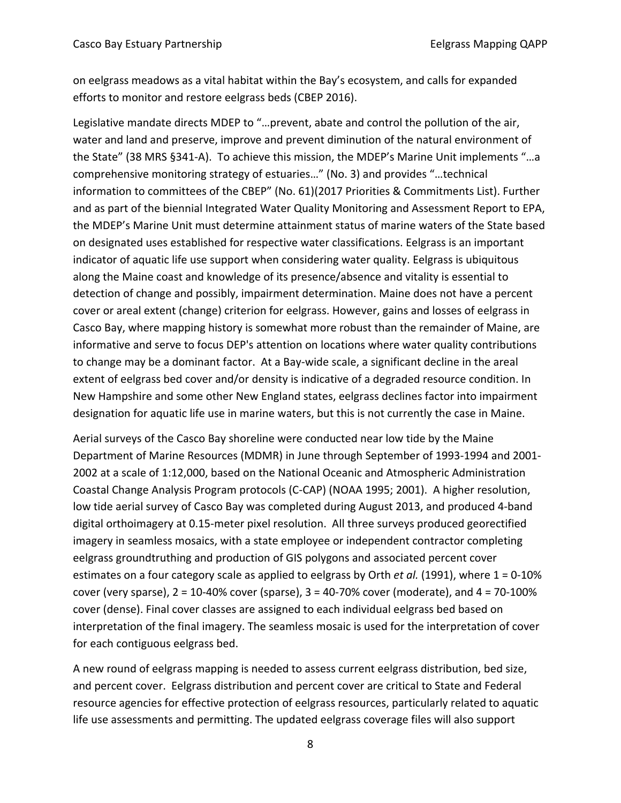on eelgrass meadows as a vital habitat within the Bay's ecosystem, and calls for expanded efforts to monitor and restore eelgrass beds (CBEP 2016).

Legislative mandate directs MDEP to "…prevent, abate and control the pollution of the air, water and land and preserve, improve and prevent diminution of the natural environment of the State" (38 MRS §341‐A). To achieve this mission, the MDEP's Marine Unit implements "…a comprehensive monitoring strategy of estuaries…" (No. 3) and provides "…technical information to committees of the CBEP" (No. 61)(2017 Priorities & Commitments List). Further and as part of the biennial Integrated Water Quality Monitoring and Assessment Report to EPA, the MDEP's Marine Unit must determine attainment status of marine waters of the State based on designated uses established for respective water classifications. Eelgrass is an important indicator of aquatic life use support when considering water quality. Eelgrass is ubiquitous along the Maine coast and knowledge of its presence/absence and vitality is essential to detection of change and possibly, impairment determination. Maine does not have a percent cover or areal extent (change) criterion for eelgrass. However, gains and losses of eelgrass in Casco Bay, where mapping history is somewhat more robust than the remainder of Maine, are informative and serve to focus DEP's attention on locations where water quality contributions to change may be a dominant factor. At a Bay‐wide scale, a significant decline in the areal extent of eelgrass bed cover and/or density is indicative of a degraded resource condition. In New Hampshire and some other New England states, eelgrass declines factor into impairment designation for aquatic life use in marine waters, but this is not currently the case in Maine.

Aerial surveys of the Casco Bay shoreline were conducted near low tide by the Maine Department of Marine Resources (MDMR) in June through September of 1993‐1994 and 2001‐ 2002 at a scale of 1:12,000, based on the National Oceanic and Atmospheric Administration Coastal Change Analysis Program protocols (C‐CAP) (NOAA 1995; 2001). A higher resolution, low tide aerial survey of Casco Bay was completed during August 2013, and produced 4‐band digital orthoimagery at 0.15‐meter pixel resolution.All three surveys produced georectified imagery in seamless mosaics, with a state employee or independent contractor completing eelgrass groundtruthing and production of GIS polygons and associated percent cover estimates on a four category scale as applied to eelgrass by Orth *et al.* (1991), where 1 = 0‐10% cover (very sparse),  $2 = 10-40\%$  cover (sparse),  $3 = 40-70\%$  cover (moderate), and  $4 = 70-100\%$ cover (dense). Final cover classes are assigned to each individual eelgrass bed based on interpretation of the final imagery. The seamless mosaic is used for the interpretation of cover for each contiguous eelgrass bed.

A new round of eelgrass mapping is needed to assess current eelgrass distribution, bed size, and percent cover. Eelgrass distribution and percent cover are critical to State and Federal resource agencies for effective protection of eelgrass resources, particularly related to aquatic life use assessments and permitting. The updated eelgrass coverage files will also support

8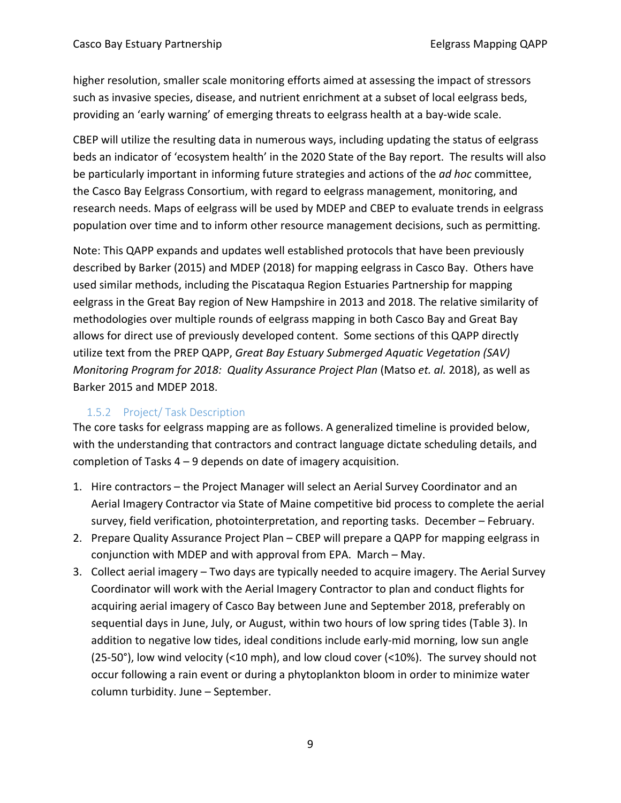higher resolution, smaller scale monitoring efforts aimed at assessing the impact of stressors such as invasive species, disease, and nutrient enrichment at a subset of local eelgrass beds, providing an 'early warning' of emerging threats to eelgrass health at a bay‐wide scale.

CBEP will utilize the resulting data in numerous ways, including updating the status of eelgrass beds an indicator of 'ecosystem health' in the 2020 State of the Bay report. The results will also be particularly important in informing future strategies and actions of the *ad hoc* committee, the Casco Bay Eelgrass Consortium, with regard to eelgrass management, monitoring, and research needs. Maps of eelgrass will be used by MDEP and CBEP to evaluate trends in eelgrass population over time and to inform other resource management decisions, such as permitting.

Note: This QAPP expands and updates well established protocols that have been previously described by Barker (2015) and MDEP (2018) for mapping eelgrass in Casco Bay. Others have used similar methods, including the Piscataqua Region Estuaries Partnership for mapping eelgrass in the Great Bay region of New Hampshire in 2013 and 2018. The relative similarity of methodologies over multiple rounds of eelgrass mapping in both Casco Bay and Great Bay allows for direct use of previously developed content. Some sections of this QAPP directly utilize text from the PREP QAPP, *Great Bay Estuary Submerged Aquatic Vegetation (SAV) Monitoring Program for 2018: Quality Assurance Project Plan* (Matso *et. al.* 2018), as well as Barker 2015 and MDEP 2018.

## 1.5.2 Project/ Task Description

The core tasks for eelgrass mapping are as follows. A generalized timeline is provided below, with the understanding that contractors and contract language dictate scheduling details, and completion of Tasks 4 – 9 depends on date of imagery acquisition.

- 1. Hire contractors the Project Manager will select an Aerial Survey Coordinator and an Aerial Imagery Contractor via State of Maine competitive bid process to complete the aerial survey, field verification, photointerpretation, and reporting tasks. December – February.
- 2. Prepare Quality Assurance Project Plan CBEP will prepare a QAPP for mapping eelgrass in conjunction with MDEP and with approval from EPA. March – May.
- 3. Collect aerial imagery Two days are typically needed to acquire imagery. The Aerial Survey Coordinator will work with the Aerial Imagery Contractor to plan and conduct flights for acquiring aerial imagery of Casco Bay between June and September 2018, preferably on sequential days in June, July, or August, within two hours of low spring tides (Table 3). In addition to negative low tides, ideal conditions include early‐mid morning, low sun angle (25‐50°), low wind velocity (<10 mph), and low cloud cover (<10%). The survey should not occur following a rain event or during a phytoplankton bloom in order to minimize water column turbidity. June – September.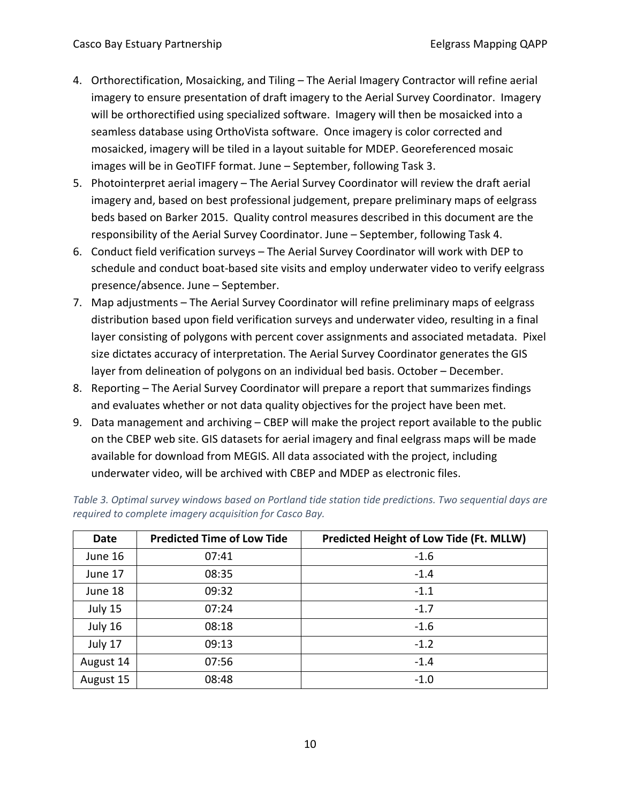- 4. Orthorectification, Mosaicking, and Tiling The Aerial Imagery Contractor will refine aerial imagery to ensure presentation of draft imagery to the Aerial Survey Coordinator. Imagery will be orthorectified using specialized software. Imagery will then be mosaicked into a seamless database using OrthoVista software. Once imagery is color corrected and mosaicked, imagery will be tiled in a layout suitable for MDEP. Georeferenced mosaic images will be in GeoTIFF format. June – September, following Task 3.
- 5. Photointerpret aerial imagery The Aerial Survey Coordinator will review the draft aerial imagery and, based on best professional judgement, prepare preliminary maps of eelgrass beds based on Barker 2015. Quality control measures described in this document are the responsibility of the Aerial Survey Coordinator. June – September, following Task 4.
- 6. Conduct field verification surveys The Aerial Survey Coordinator will work with DEP to schedule and conduct boat-based site visits and employ underwater video to verify eelgrass presence/absence. June – September.
- 7. Map adjustments The Aerial Survey Coordinator will refine preliminary maps of eelgrass distribution based upon field verification surveys and underwater video, resulting in a final layer consisting of polygons with percent cover assignments and associated metadata. Pixel size dictates accuracy of interpretation. The Aerial Survey Coordinator generates the GIS layer from delineation of polygons on an individual bed basis. October – December.
- 8. Reporting The Aerial Survey Coordinator will prepare a report that summarizes findings and evaluates whether or not data quality objectives for the project have been met.
- 9. Data management and archiving CBEP will make the project report available to the public on the CBEP web site. GIS datasets for aerial imagery and final eelgrass maps will be made available for download from MEGIS. All data associated with the project, including underwater video, will be archived with CBEP and MDEP as electronic files.

| <b>Date</b> | <b>Predicted Time of Low Tide</b> | Predicted Height of Low Tide (Ft. MLLW) |
|-------------|-----------------------------------|-----------------------------------------|
| June 16     | 07:41                             | $-1.6$                                  |
| June 17     | 08:35                             | $-1.4$                                  |
| June 18     | 09:32                             | $-1.1$                                  |
| July 15     | 07:24                             | $-1.7$                                  |
| July 16     | 08:18                             | $-1.6$                                  |
| July 17     | 09:13                             | $-1.2$                                  |
| August 14   | 07:56                             | $-1.4$                                  |
| August 15   | 08:48                             | $-1.0$                                  |

*Table 3. Optimal survey windows based on Portland tide station tide predictions. Two sequential days are required to complete imagery acquisition for Casco Bay.*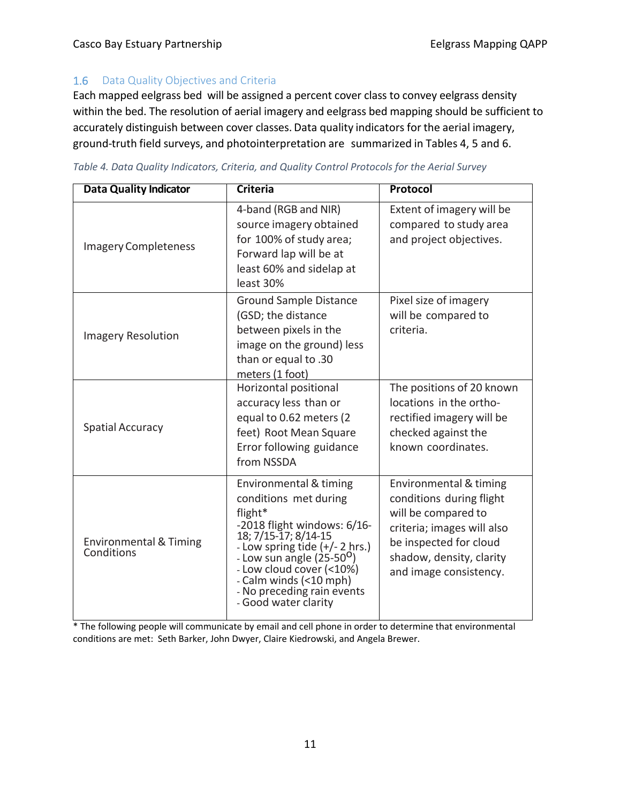## 1.6 Data Quality Objectives and Criteria

Each mapped eelgrass bed will be assigned a percent cover class to convey eelgrass density within the bed. The resolution of aerial imagery and eelgrass bed mapping should be sufficient to accurately distinguish between cover classes. Data quality indicators for the aerial imagery, ground‐truth field surveys, and photointerpretation are summarized in Tables 4, 5 and 6.

*Table 4. Data Quality Indicators, Criteria, and Quality Control Protocols for the Aerial Survey*

| <b>Data Quality Indicator</b>                   | <b>Criteria</b>                                                                                                                                                                                                                                                                                            | Protocol                                                                                                                                                                                |
|-------------------------------------------------|------------------------------------------------------------------------------------------------------------------------------------------------------------------------------------------------------------------------------------------------------------------------------------------------------------|-----------------------------------------------------------------------------------------------------------------------------------------------------------------------------------------|
| <b>Imagery Completeness</b>                     | 4-band (RGB and NIR)<br>source imagery obtained<br>for 100% of study area;<br>Forward lap will be at<br>least 60% and sidelap at<br>least 30%                                                                                                                                                              | Extent of imagery will be<br>compared to study area<br>and project objectives.                                                                                                          |
| <b>Imagery Resolution</b>                       | <b>Ground Sample Distance</b><br>(GSD; the distance<br>between pixels in the<br>image on the ground) less<br>than or equal to .30<br>meters (1 foot)                                                                                                                                                       | Pixel size of imagery<br>will be compared to<br>criteria.                                                                                                                               |
| <b>Spatial Accuracy</b>                         | Horizontal positional<br>accuracy less than or<br>equal to 0.62 meters (2<br>feet) Root Mean Square<br>Error following guidance<br>from NSSDA                                                                                                                                                              | The positions of 20 known<br>locations in the ortho-<br>rectified imagery will be<br>checked against the<br>known coordinates.                                                          |
| <b>Environmental &amp; Timing</b><br>Conditions | Environmental & timing<br>conditions met during<br>flight*<br>-2018 flight windows: 6/16-<br>18; 7/15-17; 8/14-15<br>- Low spring tide $(+/- 2$ hrs.)<br>- Low sun angle (25-50 <sup>0</sup> )<br>- Low cloud cover (<10%)<br>- Calm winds (<10 mph)<br>- No preceding rain events<br>- Good water clarity | Environmental & timing<br>conditions during flight<br>will be compared to<br>criteria; images will also<br>be inspected for cloud<br>shadow, density, clarity<br>and image consistency. |

\* The following people will communicate by email and cell phone in order to determine that environmental conditions are met: Seth Barker, John Dwyer, Claire Kiedrowski, and Angela Brewer.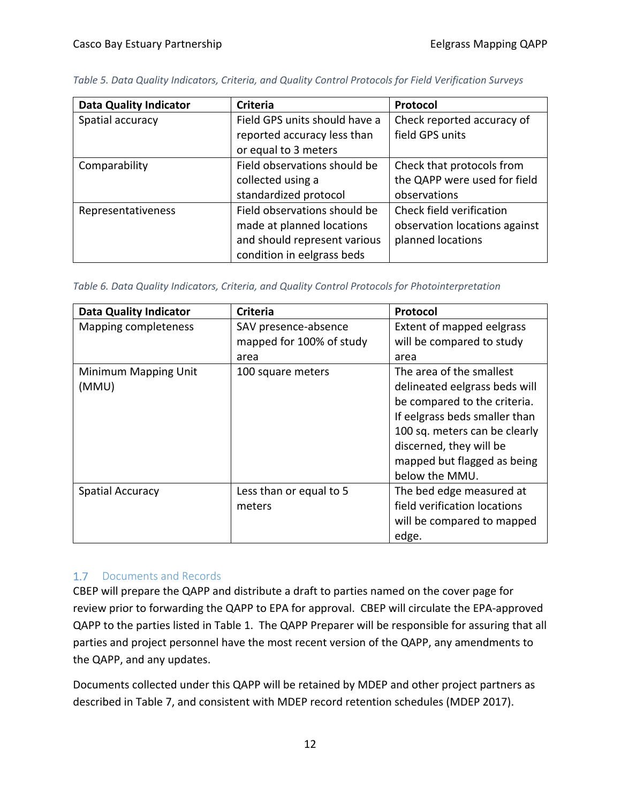| <b>Data Quality Indicator</b> | <b>Criteria</b>               | Protocol                      |
|-------------------------------|-------------------------------|-------------------------------|
| Spatial accuracy              | Field GPS units should have a | Check reported accuracy of    |
|                               | reported accuracy less than   | field GPS units               |
|                               | or equal to 3 meters          |                               |
| Comparability                 | Field observations should be  | Check that protocols from     |
|                               | collected using a             | the QAPP were used for field  |
|                               | standardized protocol         | observations                  |
| Representativeness            | Field observations should be  | Check field verification      |
|                               | made at planned locations     | observation locations against |
|                               | and should represent various  | planned locations             |
|                               | condition in eelgrass beds    |                               |

#### *Table 5. Data Quality Indicators, Criteria, and Quality Control Protocols for Field Verification Surveys*

*Table 6. Data Quality Indicators, Criteria, and Quality Control Protocols for Photointerpretation*

| <b>Data Quality Indicator</b> | <b>Criteria</b>          | Protocol                      |  |
|-------------------------------|--------------------------|-------------------------------|--|
| Mapping completeness          | SAV presence-absence     | Extent of mapped eelgrass     |  |
|                               | mapped for 100% of study | will be compared to study     |  |
|                               | area                     | area                          |  |
| Minimum Mapping Unit          | 100 square meters        | The area of the smallest      |  |
| (MMU)                         |                          | delineated eelgrass beds will |  |
|                               |                          | be compared to the criteria.  |  |
|                               |                          | If eelgrass beds smaller than |  |
|                               |                          | 100 sq. meters can be clearly |  |
|                               |                          | discerned, they will be       |  |
|                               |                          | mapped but flagged as being   |  |
|                               |                          | below the MMU.                |  |
| Spatial Accuracy              | Less than or equal to 5  | The bed edge measured at      |  |
|                               | meters                   | field verification locations  |  |
|                               |                          | will be compared to mapped    |  |
|                               |                          | edge.                         |  |

## 1.7 Documents and Records

CBEP will prepare the QAPP and distribute a draft to parties named on the cover page for review prior to forwarding the QAPP to EPA for approval. CBEP will circulate the EPA‐approved QAPP to the parties listed in Table 1. The QAPP Preparer will be responsible for assuring that all parties and project personnel have the most recent version of the QAPP, any amendments to the QAPP, and any updates.

Documents collected under this QAPP will be retained by MDEP and other project partners as described in Table 7, and consistent with MDEP record retention schedules (MDEP 2017).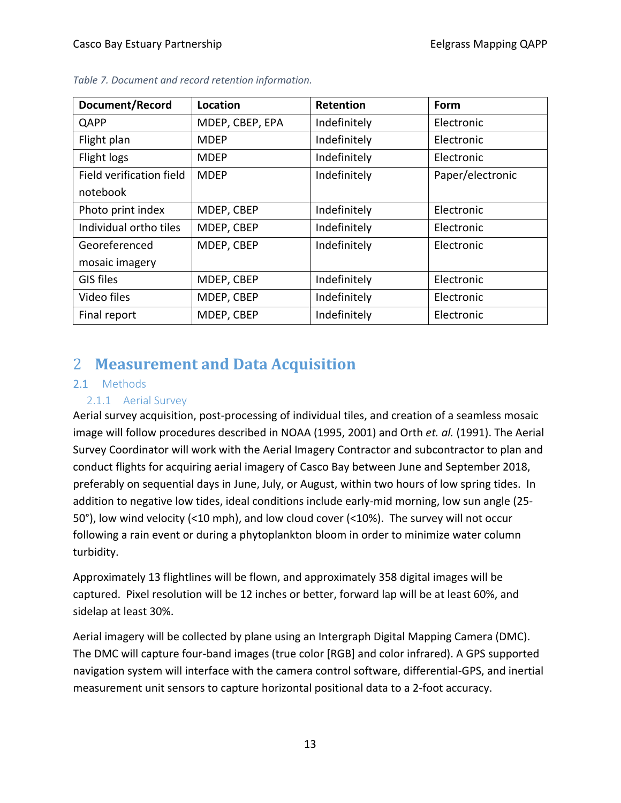| Document/Record          | Location        | <b>Retention</b> | Form             |
|--------------------------|-----------------|------------------|------------------|
| QAPP                     | MDEP, CBEP, EPA | Indefinitely     | Electronic       |
| Flight plan              | <b>MDEP</b>     | Indefinitely     | Electronic       |
| Flight logs              | <b>MDEP</b>     | Indefinitely     | Electronic       |
| Field verification field | <b>MDEP</b>     | Indefinitely     | Paper/electronic |
| notebook                 |                 |                  |                  |
| Photo print index        | MDEP, CBEP      | Indefinitely     | Electronic       |
| Individual ortho tiles   | MDEP, CBEP      | Indefinitely     | Electronic       |
| Georeferenced            | MDEP, CBEP      | Indefinitely     | Electronic       |
| mosaic imagery           |                 |                  |                  |
| <b>GIS files</b>         | MDEP, CBEP      | Indefinitely     | Electronic       |
| Video files              | MDEP, CBEP      | Indefinitely     | Electronic       |
| Final report             | MDEP, CBEP      | Indefinitely     | Electronic       |

*Table 7. Document and record retention information.*

# 2 **Measurement and Data Acquisition**

#### 2.1 Methods

#### 2.1.1 Aerial Survey

Aerial survey acquisition, post‐processing of individual tiles, and creation of a seamless mosaic image will follow procedures described in NOAA (1995, 2001) and Orth *et. al.* (1991). The Aerial Survey Coordinator will work with the Aerial Imagery Contractor and subcontractor to plan and conduct flights for acquiring aerial imagery of Casco Bay between June and September 2018, preferably on sequential days in June, July, or August, within two hours of low spring tides. In addition to negative low tides, ideal conditions include early-mid morning, low sun angle (25-50°), low wind velocity (<10 mph), and low cloud cover (<10%). The survey will not occur following a rain event or during a phytoplankton bloom in order to minimize water column turbidity.

Approximately 13 flightlines will be flown, and approximately 358 digital images will be captured. Pixel resolution will be 12 inches or better, forward lap will be at least 60%, and sidelap at least 30%.

Aerial imagery will be collected by plane using an Intergraph Digital Mapping Camera (DMC). The DMC will capture four‐band images (true color [RGB] and color infrared). A GPS supported navigation system will interface with the camera control software, differential‐GPS, and inertial measurement unit sensors to capture horizontal positional data to a 2‐foot accuracy.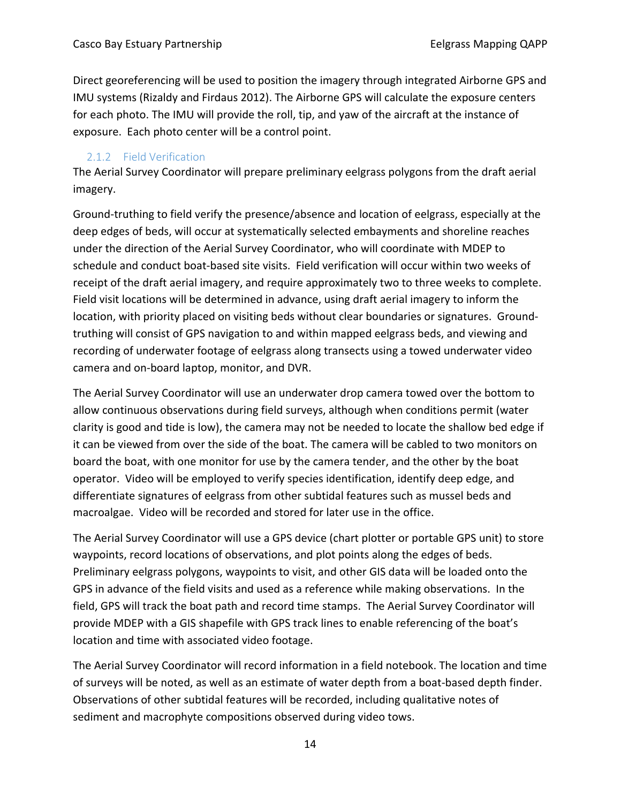Direct georeferencing will be used to position the imagery through integrated Airborne GPS and IMU systems (Rizaldy and Firdaus 2012). The Airborne GPS will calculate the exposure centers for each photo. The IMU will provide the roll, tip, and yaw of the aircraft at the instance of exposure. Each photo center will be a control point.

#### 2.1.2 Field Verification

The Aerial Survey Coordinator will prepare preliminary eelgrass polygons from the draft aerial imagery.

Ground‐truthing to field verify the presence/absence and location of eelgrass, especially at the deep edges of beds, will occur at systematically selected embayments and shoreline reaches under the direction of the Aerial Survey Coordinator, who will coordinate with MDEP to schedule and conduct boat‐based site visits. Field verification will occur within two weeks of receipt of the draft aerial imagery, and require approximately two to three weeks to complete. Field visit locations will be determined in advance, using draft aerial imagery to inform the location, with priority placed on visiting beds without clear boundaries or signatures. Ground‐ truthing will consist of GPS navigation to and within mapped eelgrass beds, and viewing and recording of underwater footage of eelgrass along transects using a towed underwater video camera and on‐board laptop, monitor, and DVR.

The Aerial Survey Coordinator will use an underwater drop camera towed over the bottom to allow continuous observations during field surveys, although when conditions permit (water clarity is good and tide is low), the camera may not be needed to locate the shallow bed edge if it can be viewed from over the side of the boat. The camera will be cabled to two monitors on board the boat, with one monitor for use by the camera tender, and the other by the boat operator. Video will be employed to verify species identification, identify deep edge, and differentiate signatures of eelgrass from other subtidal features such as mussel beds and macroalgae. Video will be recorded and stored for later use in the office.

The Aerial Survey Coordinator will use a GPS device (chart plotter or portable GPS unit) to store waypoints, record locations of observations, and plot points along the edges of beds. Preliminary eelgrass polygons, waypoints to visit, and other GIS data will be loaded onto the GPS in advance of the field visits and used as a reference while making observations. In the field, GPS will track the boat path and record time stamps. The Aerial Survey Coordinator will provide MDEP with a GIS shapefile with GPS track lines to enable referencing of the boat's location and time with associated video footage.

The Aerial Survey Coordinator will record information in a field notebook. The location and time of surveys will be noted, as well as an estimate of water depth from a boat‐based depth finder. Observations of other subtidal features will be recorded, including qualitative notes of sediment and macrophyte compositions observed during video tows.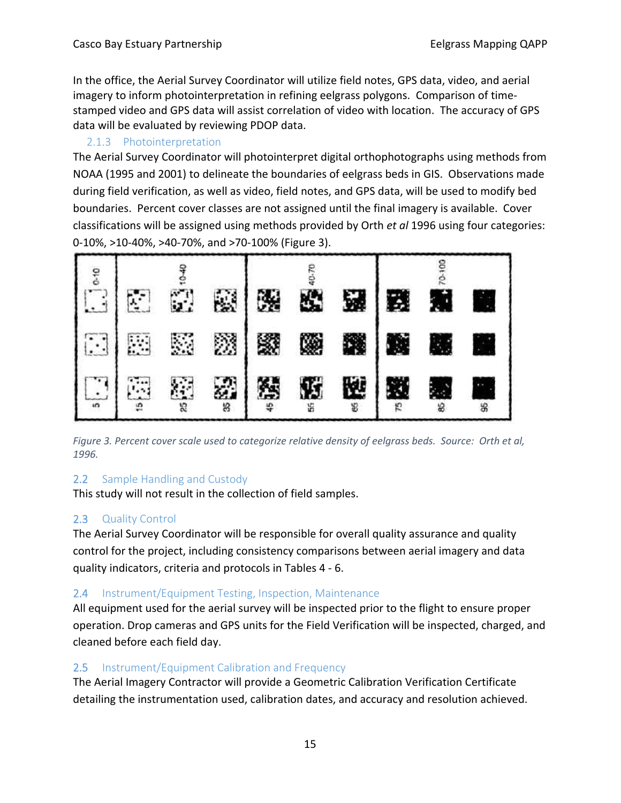In the office, the Aerial Survey Coordinator will utilize field notes, GPS data, video, and aerial imagery to inform photointerpretation in refining eelgrass polygons. Comparison of time‐ stamped video and GPS data will assist correlation of video with location. The accuracy of GPS data will be evaluated by reviewing PDOP data.

#### 2.1.3 Photointerpretation

The Aerial Survey Coordinator will photointerpret digital orthophotographs using methods from NOAA (1995 and 2001) to delineate the boundaries of eelgrass beds in GIS. Observations made during field verification, as well as video, field notes, and GPS data, will be used to modify bed boundaries. Percent cover classes are not assigned until the final imagery is available. Cover classifications will be assigned using methods provided by Orth *et al* 1996 using four categories: 0‐10%, >10‐40%, >40‐70%, and >70‐100% (Figure 3).



Figure 3. Percent cover scale used to categorize relative density of eelgrass beds. Source: Orth et al, *1996.*

## 2.2 Sample Handling and Custody

This study will not result in the collection of field samples.

## 2.3 Quality Control

The Aerial Survey Coordinator will be responsible for overall quality assurance and quality control for the project, including consistency comparisons between aerial imagery and data quality indicators, criteria and protocols in Tables 4 ‐ 6.

## 2.4 Instrument/Equipment Testing, Inspection, Maintenance

All equipment used for the aerial survey will be inspected prior to the flight to ensure proper operation. Drop cameras and GPS units for the Field Verification will be inspected, charged, and cleaned before each field day.

## 2.5 Instrument/Equipment Calibration and Frequency

The Aerial Imagery Contractor will provide a Geometric Calibration Verification Certificate detailing the instrumentation used, calibration dates, and accuracy and resolution achieved.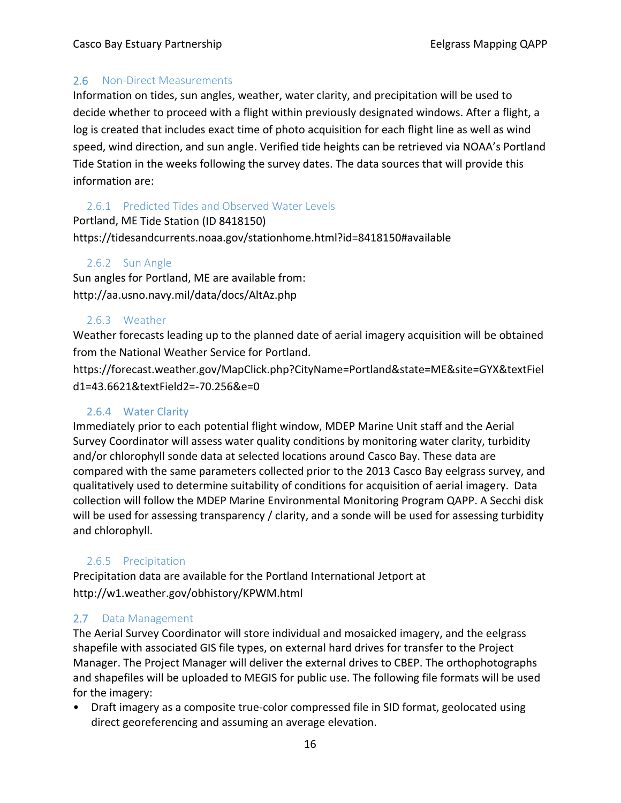#### 2.6 Non-Direct Measurements

Information on tides, sun angles, weather, water clarity, and precipitation will be used to decide whether to proceed with a flight within previously designated windows. After a flight, a log is created that includes exact time of photo acquisition for each flight line as well as wind speed, wind direction, and sun angle. Verified tide heights can be retrieved via NOAA's Portland Tide Station in the weeks following the survey dates. The data sources that will provide this information are:

## 2.6.1 Predicted Tides and Observed Water Levels

Portland, ME Tide Station (ID 8418150) https://tidesandcurrents.noaa.gov/stationhome.html?id=8418150#available

#### 2.6.2 Sun Angle

Sun angles for Portland, ME are available from: http://aa.usno.navy.mil/data/docs/AltAz.php

#### 2.6.3 Weather

Weather forecasts leading up to the planned date of aerial imagery acquisition will be obtained from the National Weather Service for Portland.

https://forecast.weather.gov/MapClick.php?CityName=Portland&state=ME&site=GYX&textFiel d1=43.6621&textField2=‐70.256&e=0

## 2.6.4 Water Clarity

Immediately prior to each potential flight window, MDEP Marine Unit staff and the Aerial Survey Coordinator will assess water quality conditions by monitoring water clarity, turbidity and/or chlorophyll sonde data at selected locations around Casco Bay. These data are compared with the same parameters collected prior to the 2013 Casco Bay eelgrass survey, and qualitatively used to determine suitability of conditions for acquisition of aerial imagery. Data collection will follow the MDEP Marine Environmental Monitoring Program QAPP. A Secchi disk will be used for assessing transparency / clarity, and a sonde will be used for assessing turbidity and chlorophyll.

## 2.6.5 Precipitation

Precipitation data are available for the Portland International Jetport at http://w1.weather.gov/obhistory/KPWM.html

## 2.7 Data Management

The Aerial Survey Coordinator will store individual and mosaicked imagery, and the eelgrass shapefile with associated GIS file types, on external hard drives for transfer to the Project Manager. The Project Manager will deliver the external drives to CBEP. The orthophotographs and shapefiles will be uploaded to MEGIS for public use. The following file formats will be used for the imagery:

• Draft imagery as a composite true-color compressed file in SID format, geolocated using direct georeferencing and assuming an average elevation.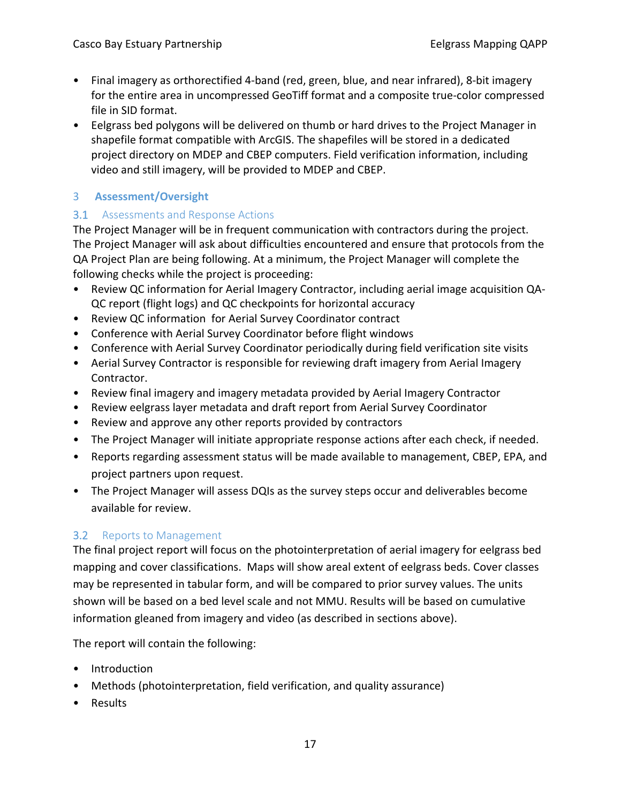- Final imagery as orthorectified 4-band (red, green, blue, and near infrared), 8-bit imagery for the entire area in uncompressed GeoTiff format and a composite true‐color compressed file in SID format.
- Eelgrass bed polygons will be delivered on thumb or hard drives to the Project Manager in shapefile format compatible with ArcGIS. The shapefiles will be stored in a dedicated project directory on MDEP and CBEP computers. Field verification information, including video and still imagery, will be provided to MDEP and CBEP.

#### 3 **Assessment/Oversight**

#### 3.1 Assessments and Response Actions

The Project Manager will be in frequent communication with contractors during the project. The Project Manager will ask about difficulties encountered and ensure that protocols from the QA Project Plan are being following. At a minimum, the Project Manager will complete the following checks while the project is proceeding:

- Review QC information for Aerial Imagery Contractor, including aerial image acquisition QA-QC report (flight logs) and QC checkpoints for horizontal accuracy
- Review QC information for Aerial Survey Coordinator contract
- Conference with Aerial Survey Coordinator before flight windows
- Conference with Aerial Survey Coordinator periodically during field verification site visits
- Aerial Survey Contractor is responsible for reviewing draft imagery from Aerial Imagery Contractor.
- Review final imagery and imagery metadata provided by Aerial Imagery Contractor
- Review eelgrass layer metadata and draft report from Aerial Survey Coordinator
- Review and approve any other reports provided by contractors
- The Project Manager will initiate appropriate response actions after each check, if needed.
- Reports regarding assessment status will be made available to management, CBEP, EPA, and project partners upon request.
- The Project Manager will assess DQIs as the survey steps occur and deliverables become available for review.

## 3.2 Reports to Management

The final project report will focus on the photointerpretation of aerial imagery for eelgrass bed mapping and cover classifications. Maps will show areal extent of eelgrass beds. Cover classes may be represented in tabular form, and will be compared to prior survey values. The units shown will be based on a bed level scale and not MMU. Results will be based on cumulative information gleaned from imagery and video (as described in sections above).

The report will contain the following:

- Introduction
- Methods (photointerpretation, field verification, and quality assurance)
- Results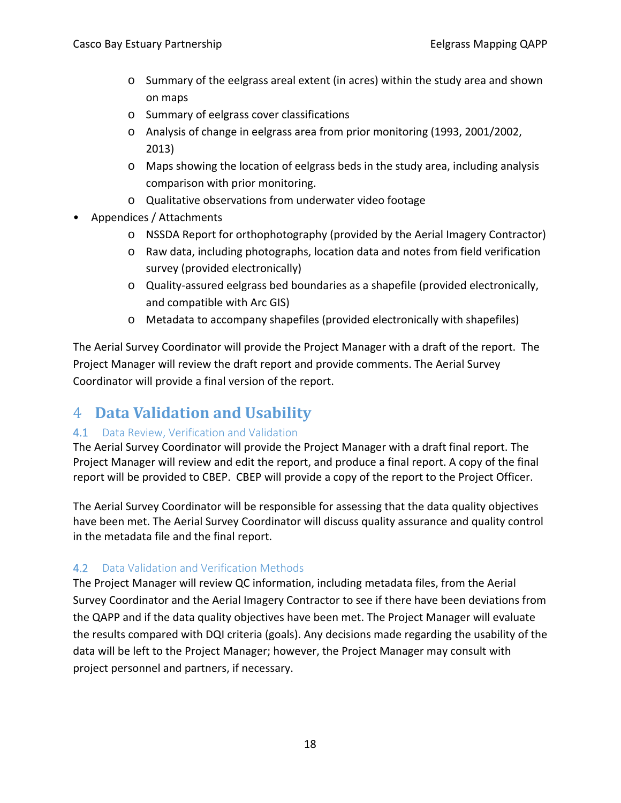- o Summary of the eelgrass areal extent (in acres) within the study area and shown on maps
- o Summary of eelgrass cover classifications
- o Analysis of change in eelgrass area from prior monitoring (1993, 2001/2002, 2013)
- o Maps showing the location of eelgrass beds in the study area, including analysis comparison with prior monitoring.
- o Qualitative observations from underwater video footage
- Appendices / Attachments
	- o NSSDA Report for orthophotography (provided by the Aerial Imagery Contractor)
	- o Raw data, including photographs, location data and notes from field verification survey (provided electronically)
	- o Quality‐assured eelgrass bed boundaries as a shapefile (provided electronically, and compatible with Arc GIS)
	- o Metadata to accompany shapefiles (provided electronically with shapefiles)

The Aerial Survey Coordinator will provide the Project Manager with a draft of the report. The Project Manager will review the draft report and provide comments. The Aerial Survey Coordinator will provide a final version of the report.

# 4 **Data Validation and Usability**

## 4.1 Data Review, Verification and Validation

The Aerial Survey Coordinator will provide the Project Manager with a draft final report. The Project Manager will review and edit the report, and produce a final report. A copy of the final report will be provided to CBEP. CBEP will provide a copy of the report to the Project Officer.

The Aerial Survey Coordinator will be responsible for assessing that the data quality objectives have been met. The Aerial Survey Coordinator will discuss quality assurance and quality control in the metadata file and the final report.

## 4.2 Data Validation and Verification Methods

The Project Manager will review QC information, including metadata files, from the Aerial Survey Coordinator and the Aerial Imagery Contractor to see if there have been deviations from the QAPP and if the data quality objectives have been met. The Project Manager will evaluate the results compared with DQI criteria (goals). Any decisions made regarding the usability of the data will be left to the Project Manager; however, the Project Manager may consult with project personnel and partners, if necessary.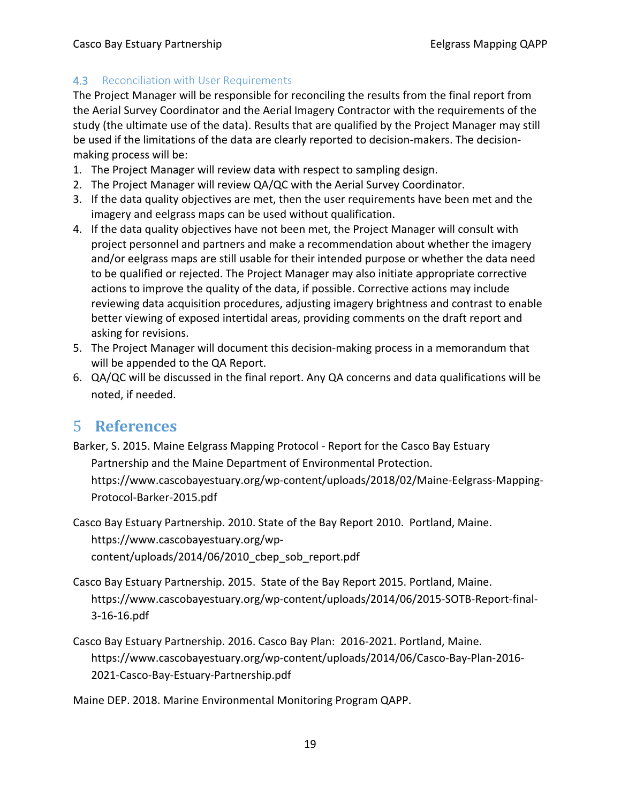## **4.3** Reconciliation with User Requirements

The Project Manager will be responsible for reconciling the results from the final report from the Aerial Survey Coordinator and the Aerial Imagery Contractor with the requirements of the study (the ultimate use of the data). Results that are qualified by the Project Manager may still be used if the limitations of the data are clearly reported to decision-makers. The decisionmaking process will be:

- 1. The Project Manager will review data with respect to sampling design.
- 2. The Project Manager will review QA/QC with the Aerial Survey Coordinator.
- 3. If the data quality objectives are met, then the user requirements have been met and the imagery and eelgrass maps can be used without qualification.
- 4. If the data quality objectives have not been met, the Project Manager will consult with project personnel and partners and make a recommendation about whether the imagery and/or eelgrass maps are still usable for their intended purpose or whether the data need to be qualified or rejected. The Project Manager may also initiate appropriate corrective actions to improve the quality of the data, if possible. Corrective actions may include reviewing data acquisition procedures, adjusting imagery brightness and contrast to enable better viewing of exposed intertidal areas, providing comments on the draft report and asking for revisions.
- 5. The Project Manager will document this decision-making process in a memorandum that will be appended to the QA Report.
- 6. QA/QC will be discussed in the final report. Any QA concerns and data qualifications will be noted, if needed.

# 5 **References**

Barker, S. 2015. Maine Eelgrass Mapping Protocol ‐ Report for the Casco Bay Estuary Partnership and the Maine Department of Environmental Protection. https://www.cascobayestuary.org/wp‐content/uploads/2018/02/Maine‐Eelgrass‐Mapping‐ Protocol‐Barker‐2015.pdf

Casco Bay Estuary Partnership. 2010. State of the Bay Report 2010. Portland, Maine. https://www.cascobayestuary.org/wp‐ content/uploads/2014/06/2010\_cbep\_sob\_report.pdf

- Casco Bay Estuary Partnership. 2015. State of the Bay Report 2015. Portland, Maine. https://www.cascobayestuary.org/wp‐content/uploads/2014/06/2015‐SOTB‐Report‐final‐ 3‐16‐16.pdf
- Casco Bay Estuary Partnership. 2016. Casco Bay Plan: 2016‐2021. Portland, Maine. https://www.cascobayestuary.org/wp‐content/uploads/2014/06/Casco‐Bay‐Plan‐2016‐ 2021‐Casco‐Bay‐Estuary‐Partnership.pdf

Maine DEP. 2018. Marine Environmental Monitoring Program QAPP.